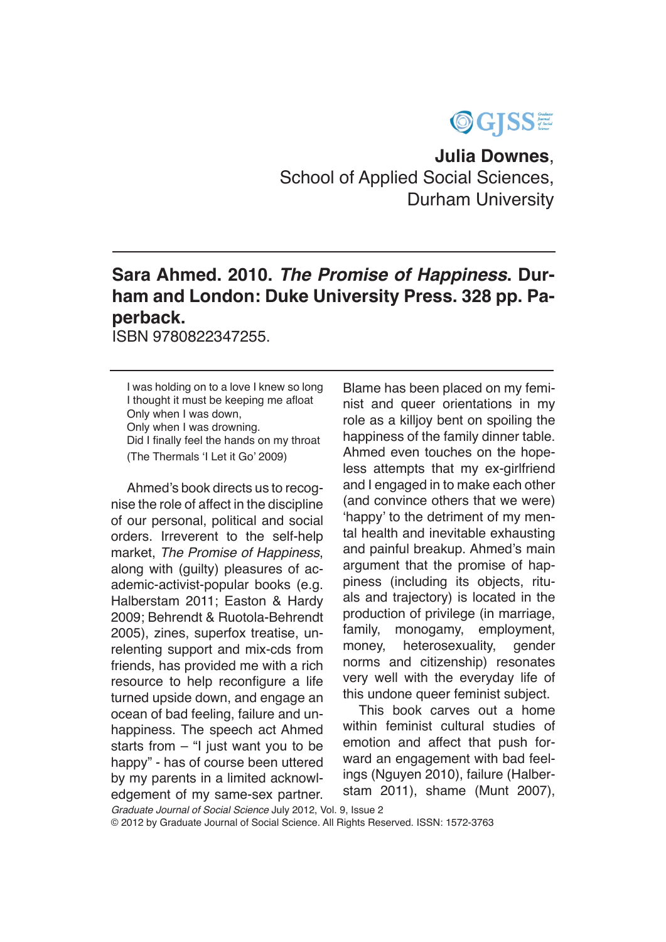

**Julia Downes**, School of Applied Social Sciences, Durham University

## **Sara Ahmed. 2010.** *The Promise of Happiness***. Durham and London: Duke University Press. 328 pp. Paperback.**

ISBN 9780822347255.

I was holding on to a love I knew so long I thought it must be keeping me afloat Only when I was down, Only when I was drowning. Did I finally feel the hands on my throat (The Thermals 'I Let it Go' 2009)

Ahmed's book directs us to recognise the role of affect in the discipline of our personal, political and social orders. Irreverent to the self-help market, *The Promise of Happiness*, along with (guilty) pleasures of academic-activist-popular books (e.g. Halberstam 2011; Easton & Hardy 2009; Behrendt & Ruotola-Behrendt 2005), zines, superfox treatise, unrelenting support and mix-cds from friends, has provided me with a rich resource to help reconfigure a life turned upside down, and engage an ocean of bad feeling, failure and unhappiness. The speech act Ahmed starts from – "I just want you to be happy" - has of course been uttered by my parents in a limited acknowledgement of my same-sex partner.

Blame has been placed on my feminist and queer orientations in my role as a killjoy bent on spoiling the happiness of the family dinner table. Ahmed even touches on the hopeless attempts that my ex-girlfriend and I engaged in to make each other (and convince others that we were) 'happy' to the detriment of my mental health and inevitable exhausting and painful breakup. Ahmed's main argument that the promise of happiness (including its objects, rituals and trajectory) is located in the production of privilege (in marriage, family, monogamy, employment, money, heterosexuality, gender norms and citizenship) resonates very well with the everyday life of this undone queer feminist subject.

This book carves out a home within feminist cultural studies of emotion and affect that push forward an engagement with bad feelings (Nguyen 2010), failure (Halberstam 2011), shame (Munt 2007),

*Graduate Journal of Social Science* July 2012, Vol. 9, Issue 2 © 2012 by Graduate Journal of Social Science. All Rights Reserved. ISSN: 1572-3763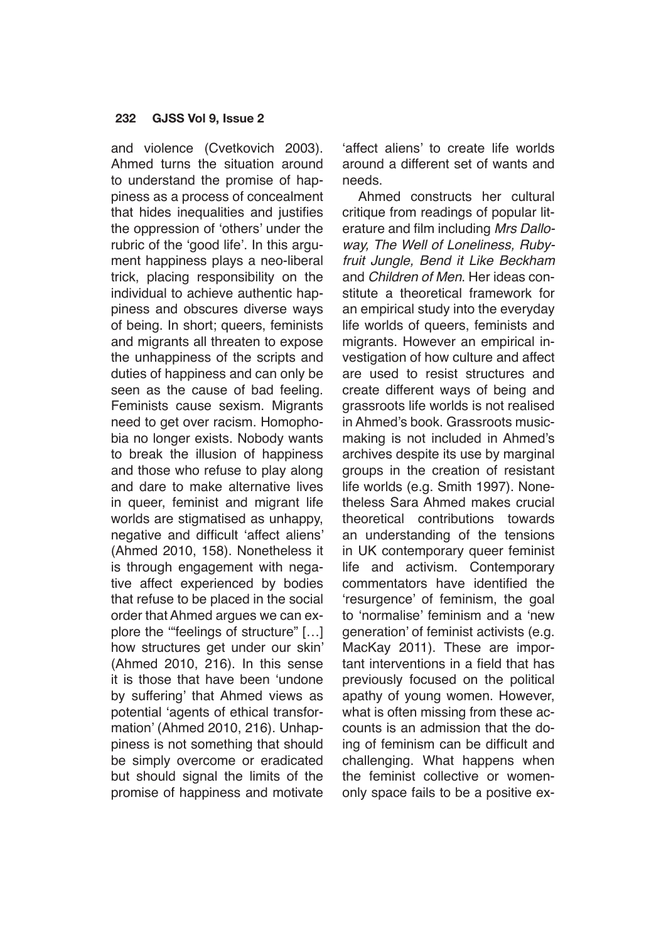## **232 GJSS Vol 9, Issue 2**

and violence (Cvetkovich 2003). Ahmed turns the situation around to understand the promise of happiness as a process of concealment that hides inequalities and justifies the oppression of 'others' under the rubric of the 'good life'. In this argument happiness plays a neo-liberal trick, placing responsibility on the individual to achieve authentic happiness and obscures diverse ways of being. In short; queers, feminists and migrants all threaten to expose the unhappiness of the scripts and duties of happiness and can only be seen as the cause of bad feeling. Feminists cause sexism. Migrants need to get over racism. Homophobia no longer exists. Nobody wants to break the illusion of happiness and those who refuse to play along and dare to make alternative lives in queer, feminist and migrant life worlds are stigmatised as unhappy, negative and difficult 'affect aliens' (Ahmed 2010, 158). Nonetheless it is through engagement with negative affect experienced by bodies that refuse to be placed in the social order that Ahmed argues we can explore the '"feelings of structure" […] how structures get under our skin' (Ahmed 2010, 216). In this sense it is those that have been 'undone by suffering' that Ahmed views as potential 'agents of ethical transformation' (Ahmed 2010, 216). Unhappiness is not something that should be simply overcome or eradicated but should signal the limits of the promise of happiness and motivate

'affect aliens' to create life worlds around a different set of wants and needs.

Ahmed constructs her cultural critique from readings of popular literature and film including *Mrs Dalloway, The Well of Loneliness, Rubyfruit Jungle, Bend it Like Beckham*  and *Children of Men*. Her ideas constitute a theoretical framework for an empirical study into the everyday life worlds of queers, feminists and migrants. However an empirical investigation of how culture and affect are used to resist structures and create different ways of being and grassroots life worlds is not realised in Ahmed's book. Grassroots musicmaking is not included in Ahmed's archives despite its use by marginal groups in the creation of resistant life worlds (e.g. Smith 1997). Nonetheless Sara Ahmed makes crucial theoretical contributions towards an understanding of the tensions in UK contemporary queer feminist life and activism. Contemporary commentators have identified the 'resurgence' of feminism, the goal to 'normalise' feminism and a 'new generation' of feminist activists (e.g. MacKay 2011). These are important interventions in a field that has previously focused on the political apathy of young women. However, what is often missing from these accounts is an admission that the doing of feminism can be difficult and challenging. What happens when the feminist collective or womenonly space fails to be a positive ex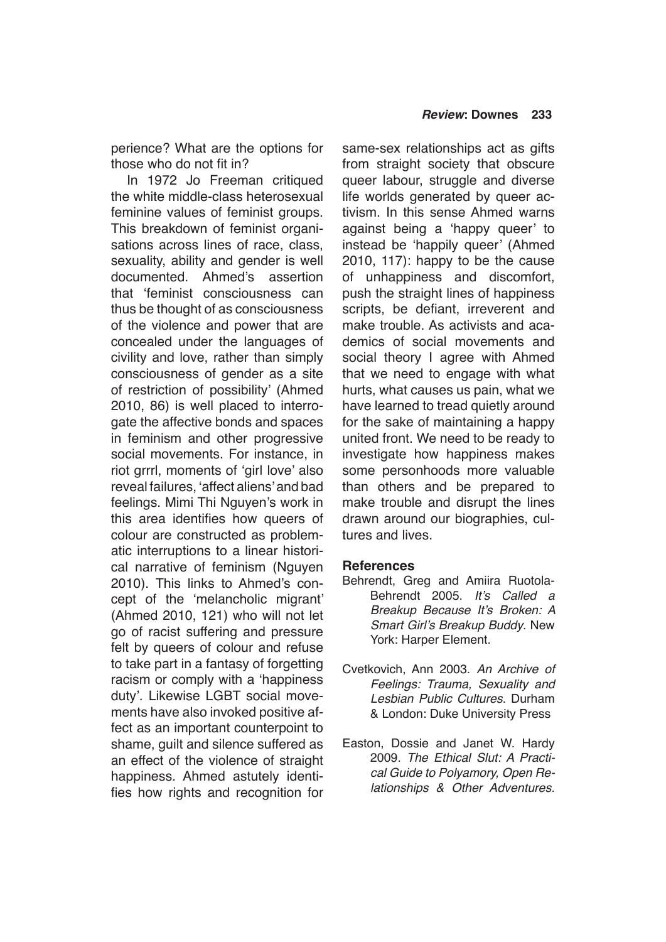perience? What are the options for those who do not fit in?

In 1972 Jo Freeman critiqued the white middle-class heterosexual feminine values of feminist groups. This breakdown of feminist organisations across lines of race, class, sexuality, ability and gender is well documented. Ahmed's assertion that 'feminist consciousness can thus be thought of as consciousness of the violence and power that are concealed under the languages of civility and love, rather than simply consciousness of gender as a site of restriction of possibility' (Ahmed 2010, 86) is well placed to interrogate the affective bonds and spaces in feminism and other progressive social movements. For instance, in riot grrrl, moments of 'girl love' also reveal failures, 'affect aliens' and bad feelings. Mimi Thi Nguyen's work in this area identifies how queers of colour are constructed as problematic interruptions to a linear historical narrative of feminism (Nguyen 2010). This links to Ahmed's concept of the 'melancholic migrant' (Ahmed 2010, 121) who will not let go of racist suffering and pressure felt by queers of colour and refuse to take part in a fantasy of forgetting racism or comply with a 'happiness duty'. Likewise LGBT social movements have also invoked positive affect as an important counterpoint to shame, guilt and silence suffered as an effect of the violence of straight happiness. Ahmed astutely identifies how rights and recognition for

same-sex relationships act as gifts from straight society that obscure queer labour, struggle and diverse life worlds generated by queer activism. In this sense Ahmed warns against being a 'happy queer' to instead be 'happily queer' (Ahmed 2010, 117): happy to be the cause of unhappiness and discomfort, push the straight lines of happiness scripts, be defiant, irreverent and make trouble. As activists and academics of social movements and social theory I agree with Ahmed that we need to engage with what hurts, what causes us pain, what we have learned to tread quietly around for the sake of maintaining a happy united front. We need to be ready to investigate how happiness makes some personhoods more valuable than others and be prepared to make trouble and disrupt the lines drawn around our biographies, cultures and lives.

## **References**

- Behrendt, Greg and Amiira Ruotola-Behrendt 2005. It's Called a Breakup Because It's Broken: A Smart Girl's Breakup Buddy. New York: Harper Element.
- Cvetkovich, Ann 2003. An Archive of Feelings: Trauma, Sexuality and *Lesbian Public Cultures*. Durham & London: Duke University Press
- Easton, Dossie and Janet W. Hardy 2009. The Ethical Slut: A Practi*cal Guide to Polyamory, Open Re*lationships & Other Adventures.